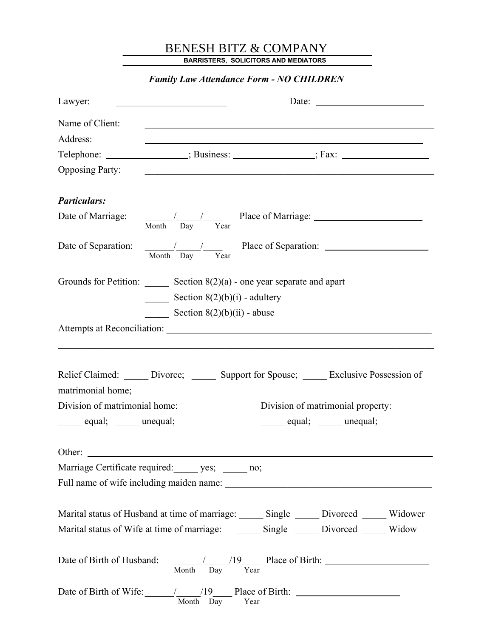## BENESH BITZ & COMPANY

BARRISTERS, SOLICITORS AND MEDIATORS

| <b>Family Law Attendance Form - NO CHILDREN</b>                                                                |                                                                                                                                           |                                                                                  |  |  |
|----------------------------------------------------------------------------------------------------------------|-------------------------------------------------------------------------------------------------------------------------------------------|----------------------------------------------------------------------------------|--|--|
| Lawyer:                                                                                                        |                                                                                                                                           | Date: $\frac{1}{\sqrt{1-\frac{1}{2}} \cdot \frac{1}{2}}$                         |  |  |
| Name of Client:                                                                                                | <u> 1989 - Johann Stoff, amerikansk politiker (d. 1989)</u>                                                                               |                                                                                  |  |  |
| Address:                                                                                                       |                                                                                                                                           |                                                                                  |  |  |
|                                                                                                                |                                                                                                                                           | Telephone: ________________; Business: _______________; Fax: ___________________ |  |  |
| <b>Opposing Party:</b>                                                                                         | <u> 2000 - Johann Johann Stoff, deutscher Stoffen und der Stoffen und der Stoffen und der Stoffen und der Stoffen</u>                     |                                                                                  |  |  |
| <b>Particulars:</b>                                                                                            |                                                                                                                                           |                                                                                  |  |  |
| Date of Marriage: $\frac{1}{\text{Month}} \frac{1}{\text{Day}} \frac{1}{\text{Year}}$ Place of Marriage:       |                                                                                                                                           |                                                                                  |  |  |
| Date of Separation: $\frac{1}{\text{Month}} \frac{1}{\text{Day}}$ Place of Separation:                         |                                                                                                                                           |                                                                                  |  |  |
|                                                                                                                | Grounds for Petition: Section $8(2)(a)$ - one year separate and apart<br>Section $8(2)(b)(i)$ - adultery<br>Section $8(2)(b)(ii)$ - abuse |                                                                                  |  |  |
|                                                                                                                |                                                                                                                                           |                                                                                  |  |  |
| Relief Claimed: ______ Divorce; ______ Support for Spouse; ______ Exclusive Possession of<br>matrimonial home; |                                                                                                                                           |                                                                                  |  |  |
| Division of matrimonial home:<br>Division of matrimonial property:                                             |                                                                                                                                           |                                                                                  |  |  |
| equal; _____ unequal;<br>equal; unequal;                                                                       |                                                                                                                                           |                                                                                  |  |  |
|                                                                                                                |                                                                                                                                           |                                                                                  |  |  |
| Marriage Certificate required: ______ yes; ______ no;                                                          |                                                                                                                                           |                                                                                  |  |  |
|                                                                                                                |                                                                                                                                           |                                                                                  |  |  |
| Marital status of Husband at time of marriage: Single ____ Divorced ____ Widower                               |                                                                                                                                           |                                                                                  |  |  |
| Marital status of Wife at time of marriage: _________ Single _______ Divorced ______ Widow                     |                                                                                                                                           |                                                                                  |  |  |
|                                                                                                                |                                                                                                                                           |                                                                                  |  |  |
| Date of Birth of Wife: $\frac{19}{\text{Month}}$ $\frac{19}{\text{Day}}$ Place of Birth:                       |                                                                                                                                           |                                                                                  |  |  |